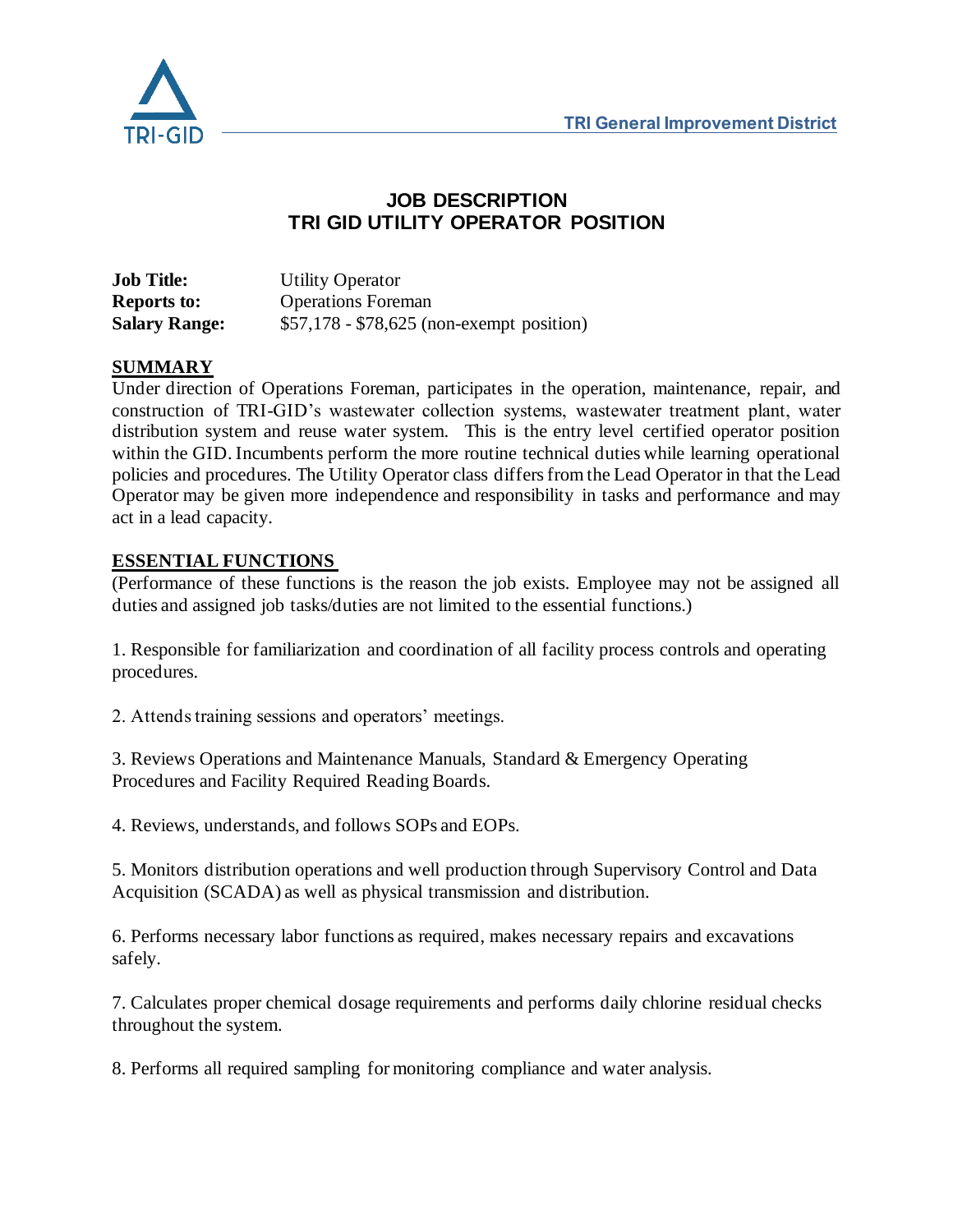

### **JOB DESCRIPTION TRI GID UTILITY OPERATOR POSITION**

**Job Title:** Utility Operator **Reports to:** Operations Foreman **Salary Range:**  $$57,178 - $78,625$  (non-exempt position)

#### **SUMMARY**

Under direction of Operations Foreman, participates in the operation, maintenance, repair, and construction of TRI-GID's wastewater collection systems, wastewater treatment plant, water distribution system and reuse water system. This is the entry level certified operator position within the GID. Incumbents perform the more routine technical duties while learning operational policies and procedures. The Utility Operator class differs from the Lead Operator in that the Lead Operator may be given more independence and responsibility in tasks and performance and may act in a lead capacity.

#### **ESSENTIAL FUNCTIONS**

(Performance of these functions is the reason the job exists. Employee may not be assigned all duties and assigned job tasks/duties are not limited to the essential functions.)

1. Responsible for familiarization and coordination of all facility process controls and operating procedures.

2. Attends training sessions and operators' meetings.

3. Reviews Operations and Maintenance Manuals, Standard & Emergency Operating Procedures and Facility Required Reading Boards.

4. Reviews, understands, and follows SOPs and EOPs.

5. Monitors distribution operations and well production through Supervisory Control and Data Acquisition (SCADA) as well as physical transmission and distribution.

6. Performs necessary labor functions as required, makes necessary repairs and excavations safely.

7. Calculates proper chemical dosage requirements and performs daily chlorine residual checks throughout the system.

8. Performs all required sampling for monitoring compliance and water analysis.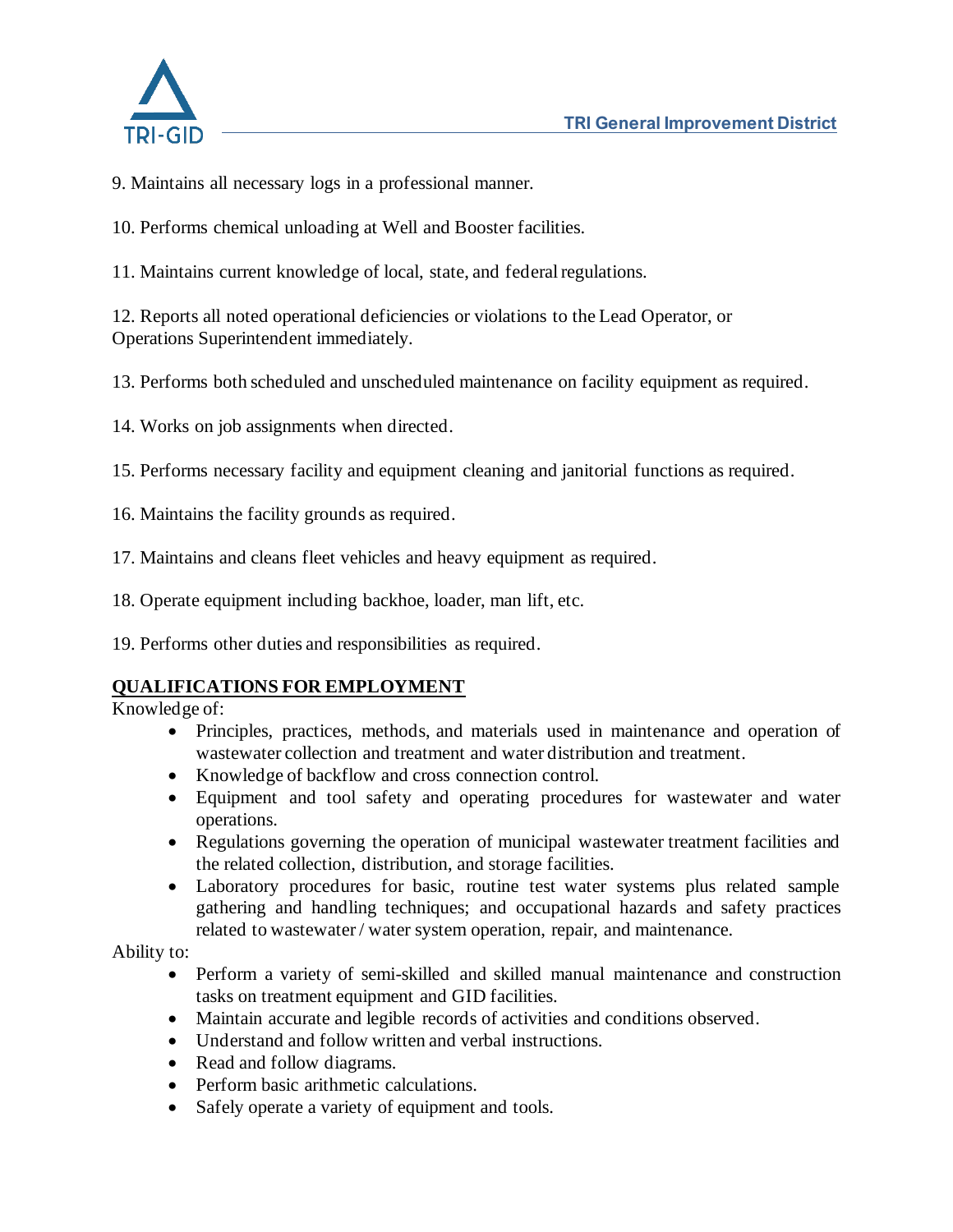

- 9. Maintains all necessary logs in a professional manner.
- 10. Performs chemical unloading at Well and Booster facilities.
- 11. Maintains current knowledge of local, state, and federal regulations.

12. Reports all noted operational deficiencies or violations to the Lead Operator, or Operations Superintendent immediately.

13. Performs both scheduled and unscheduled maintenance on facility equipment as required.

14. Works on job assignments when directed.

15. Performs necessary facility and equipment cleaning and janitorial functions as required.

- 16. Maintains the facility grounds as required.
- 17. Maintains and cleans fleet vehicles and heavy equipment as required.
- 18. Operate equipment including backhoe, loader, man lift, etc.
- 19. Performs other duties and responsibilities as required.

#### **QUALIFICATIONS FOR EMPLOYMENT**

Knowledge of:

- Principles, practices, methods, and materials used in maintenance and operation of wastewater collection and treatment and water distribution and treatment.
- Knowledge of backflow and cross connection control.
- Equipment and tool safety and operating procedures for wastewater and water operations.
- Regulations governing the operation of municipal wastewater treatment facilities and the related collection, distribution, and storage facilities.
- Laboratory procedures for basic, routine test water systems plus related sample gathering and handling techniques; and occupational hazards and safety practices related to wastewater / water system operation, repair, and maintenance.

Ability to:

- Perform a variety of semi-skilled and skilled manual maintenance and construction tasks on treatment equipment and GID facilities.
- Maintain accurate and legible records of activities and conditions observed.
- Understand and follow written and verbal instructions.
- Read and follow diagrams.
- Perform basic arithmetic calculations.
- Safely operate a variety of equipment and tools.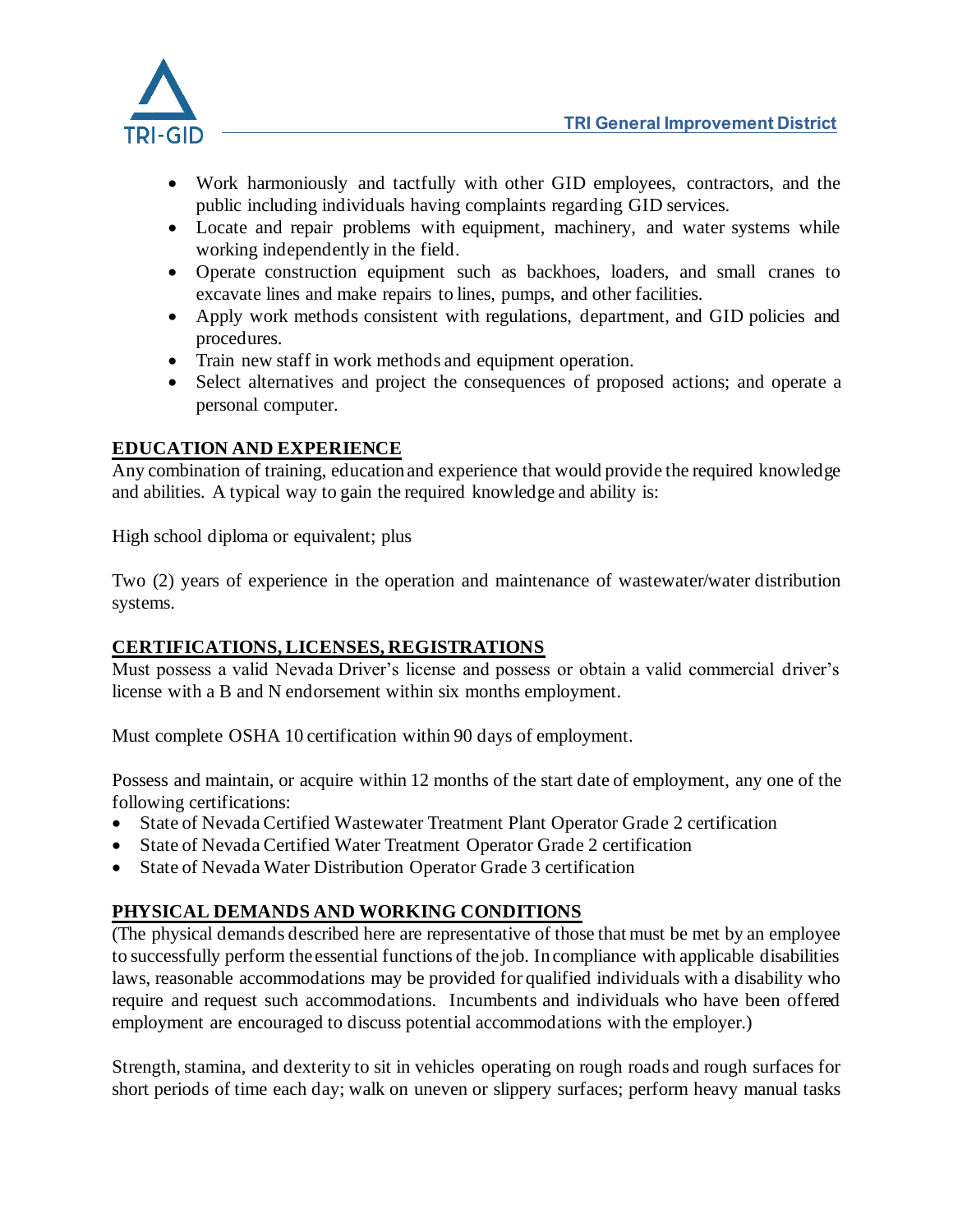

- Work harmoniously and tactfully with other GID employees, contractors, and the public including individuals having complaints regarding GID services.
- Locate and repair problems with equipment, machinery, and water systems while working independently in the field.
- Operate construction equipment such as backhoes, loaders, and small cranes to excavate lines and make repairs to lines, pumps, and other facilities.
- Apply work methods consistent with regulations, department, and GID policies and procedures.
- Train new staff in work methods and equipment operation.
- Select alternatives and project the consequences of proposed actions; and operate a personal computer.

### **EDUCATION AND EXPERIENCE**

Any combination of training, education and experience that would provide the required knowledge and abilities. A typical way to gain the required knowledge and ability is:

High school diploma or equivalent; plus

Two (2) years of experience in the operation and maintenance of wastewater/water distribution systems.

#### **CERTIFICATIONS, LICENSES, REGISTRATIONS**

Must possess a valid Nevada Driver's license and possess or obtain a valid commercial driver's license with a B and N endorsement within six months employment.

Must complete OSHA 10 certification within 90 days of employment.

Possess and maintain, or acquire within 12 months of the start date of employment, any one of the following certifications:

- State of Nevada Certified Wastewater Treatment Plant Operator Grade 2 certification
- State of Nevada Certified Water Treatment Operator Grade 2 certification
- State of Nevada Water Distribution Operator Grade 3 certification

## **PHYSICAL DEMANDS AND WORKING CONDITIONS**

(The physical demands described here are representative of those that must be met by an employee to successfully perform the essential functions of the job. In compliance with applicable disabilities laws, reasonable accommodations may be provided for qualified individuals with a disability who require and request such accommodations. Incumbents and individuals who have been offered employment are encouraged to discuss potential accommodations with the employer.)

Strength, stamina, and dexterity to sit in vehicles operating on rough roads and rough surfaces for short periods of time each day; walk on uneven or slippery surfaces; perform heavy manual tasks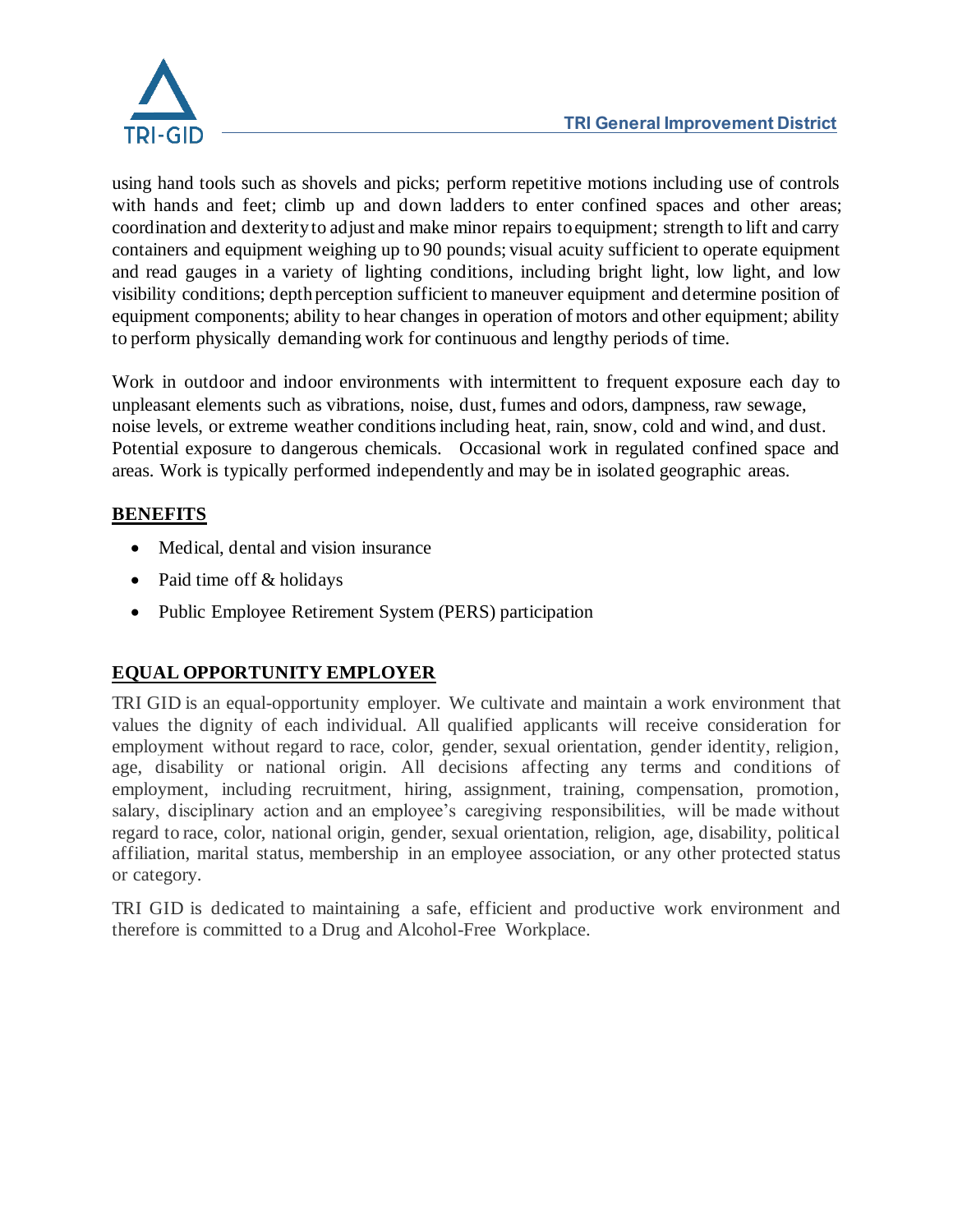

using hand tools such as shovels and picks; perform repetitive motions including use of controls with hands and feet; climb up and down ladders to enter confined spaces and other areas; coordination and dexterity to adjust and make minor repairs to equipment; strength to lift and carry containers and equipment weighing up to 90 pounds; visual acuity sufficient to operate equipment and read gauges in a variety of lighting conditions, including bright light, low light, and low visibility conditions; depth perception sufficient to maneuver equipment and determine position of equipment components; ability to hear changes in operation of motors and other equipment; ability to perform physically demanding work for continuous and lengthy periods of time.

Work in outdoor and indoor environments with intermittent to frequent exposure each day to unpleasant elements such as vibrations, noise, dust, fumes and odors, dampness, raw sewage, noise levels, or extreme weather conditions including heat, rain, snow, cold and wind, and dust. Potential exposure to dangerous chemicals. Occasional work in regulated confined space and areas. Work is typically performed independently and may be in isolated geographic areas.

## **BENEFITS**

- Medical, dental and vision insurance
- Paid time off & holidays
- Public Employee Retirement System (PERS) participation

# **EQUAL OPPORTUNITY EMPLOYER**

TRI GID is an equal-opportunity employer. We cultivate and maintain a work environment that values the dignity of each individual. All qualified applicants will receive consideration for employment without regard to race, color, gender, sexual orientation, gender identity, religion, age, disability or national origin. All decisions affecting any terms and conditions of employment, including recruitment, hiring, assignment, training, compensation, promotion, salary, disciplinary action and an employee's caregiving responsibilities, will be made without regard to race, color, national origin, gender, sexual orientation, religion, age, disability, political affiliation, marital status, membership in an employee association, or any other protected status or category.

TRI GID is dedicated to maintaining a safe, efficient and productive work environment and therefore is committed to a Drug and Alcohol-Free Workplace.